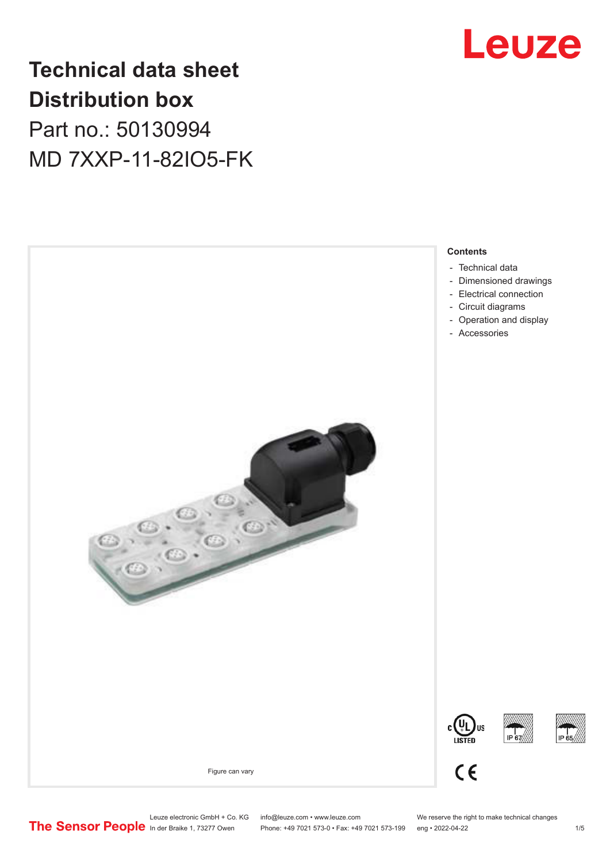

# **Technical data sheet Distribution box**

Part no.: 50130994 MD 7XXP-11-82IO5-FK



Leuze electronic GmbH + Co. KG info@leuze.com • www.leuze.com We reserve the right to make technical changes<br>
The Sensor People in der Braike 1, 73277 Owen Phone: +49 7021 573-0 • Fax: +49 7021 573-199 eng • 2022-04-22 Phone: +49 7021 573-0 • Fax: +49 7021 573-199 eng • 2022-04-22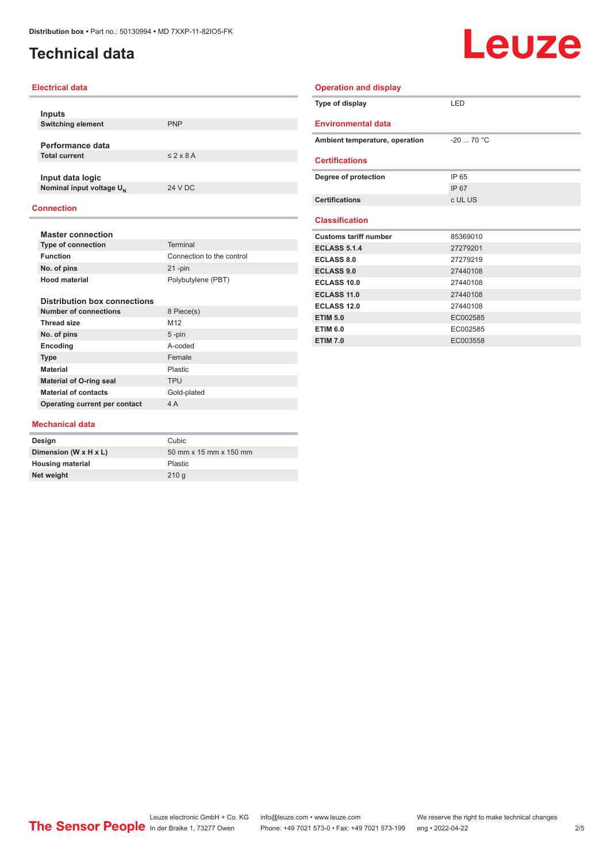### <span id="page-1-0"></span>**Technical data**

# Leuze

| <b>Electrical data</b>                    |                           | <b>Operation and display</b>   |             |  |
|-------------------------------------------|---------------------------|--------------------------------|-------------|--|
|                                           |                           | Type of display                | LED         |  |
| <b>Inputs</b><br><b>Switching element</b> | <b>PNP</b>                | <b>Environmental data</b>      |             |  |
|                                           |                           |                                |             |  |
| Performance data                          |                           | Ambient temperature, operation | $-20$ 70 °C |  |
| <b>Total current</b>                      | $\leq$ 2 x 8 A            | <b>Certifications</b>          |             |  |
| Input data logic                          |                           | Degree of protection           | IP 65       |  |
| Nominal input voltage U <sub>N</sub>      | <b>24 V DC</b>            |                                | IP 67       |  |
|                                           |                           | <b>Certifications</b>          | c UL US     |  |
| <b>Connection</b>                         |                           |                                |             |  |
|                                           |                           | <b>Classification</b>          |             |  |
| <b>Master connection</b>                  |                           | <b>Customs tariff number</b>   | 85369010    |  |
| <b>Type of connection</b>                 | Terminal                  | <b>ECLASS 5.1.4</b>            | 27279201    |  |
| <b>Function</b>                           | Connection to the control | <b>ECLASS 8.0</b>              | 27279219    |  |
| No. of pins                               | $21 - pin$                | <b>ECLASS 9.0</b>              | 27440108    |  |
| <b>Hood material</b>                      | Polybutylene (PBT)        | <b>ECLASS 10.0</b>             | 27440108    |  |
|                                           |                           | <b>ECLASS 11.0</b>             | 27440108    |  |
| <b>Distribution box connections</b>       |                           | <b>ECLASS 12.0</b>             | 27440108    |  |
| <b>Number of connections</b>              | 8 Piece(s)                | <b>ETIM 5.0</b>                | EC002585    |  |
| <b>Thread size</b>                        | M12                       | <b>ETIM 6.0</b>                | EC002585    |  |
| No. of pins                               | $5 - pin$                 | <b>ETIM 7.0</b>                | EC003558    |  |
| Encoding                                  | A-coded                   |                                |             |  |
| <b>Type</b>                               | Female                    |                                |             |  |
| <b>Material</b>                           | Plastic                   |                                |             |  |
| <b>Material of O-ring seal</b>            | <b>TPU</b>                |                                |             |  |
| <b>Material of contacts</b>               | Gold-plated               |                                |             |  |

#### **Mechanical data**

**Operating current per contact** 4 A

| Design                  | Cubic                  |
|-------------------------|------------------------|
| Dimension (W x H x L)   | 50 mm x 15 mm x 150 mm |
| <b>Housing material</b> | <b>Plastic</b>         |
| Net weight              | 210q                   |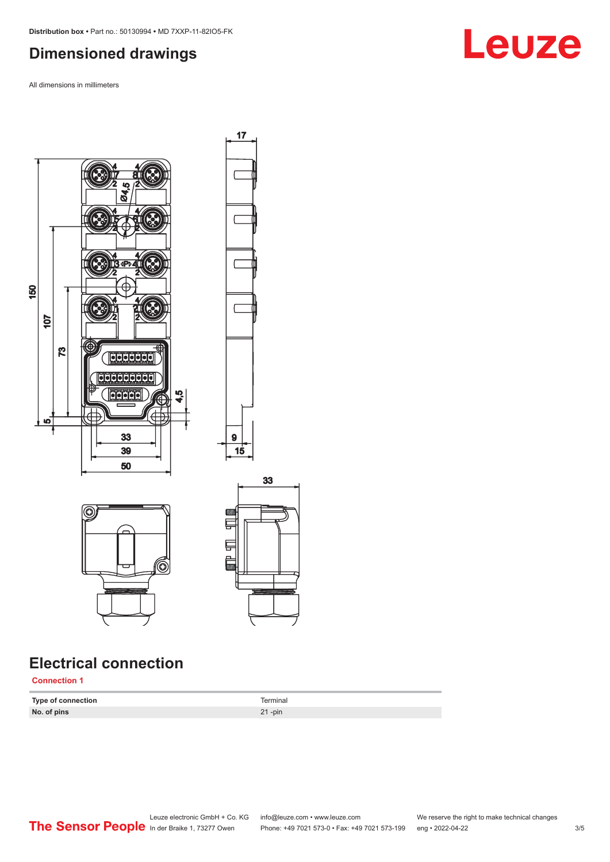#### <span id="page-2-0"></span>**Dimensioned drawings**

All dimensions in millimeters



## **Electrical connection**

**Connection 1**

**Type of connection** Terminal **No. of pins** 21 -pin

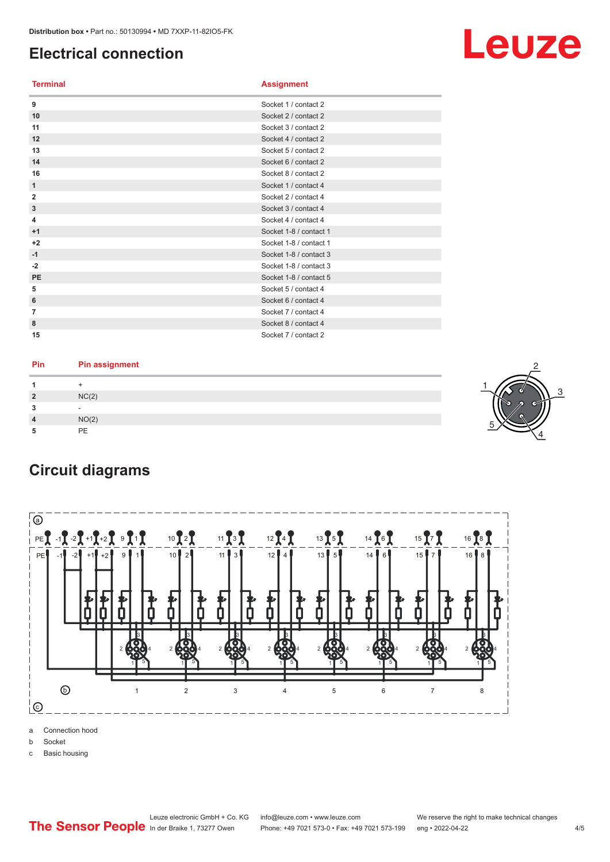#### <span id="page-3-0"></span>**Electrical connection**

#### **Terminal Assignment**

| 9              | Socket 1 / contact 2   |
|----------------|------------------------|
| 10             | Socket 2 / contact 2   |
| 11             | Socket 3 / contact 2   |
| 12             | Socket 4 / contact 2   |
| 13             | Socket 5 / contact 2   |
| 14             | Socket 6 / contact 2   |
| 16             | Socket 8 / contact 2   |
| 1              | Socket 1 / contact 4   |
| $\overline{2}$ | Socket 2 / contact 4   |
| $\mathbf{3}$   | Socket 3 / contact 4   |
| 4              | Socket 4 / contact 4   |
| $+1$           | Socket 1-8 / contact 1 |
| $+2$           | Socket 1-8 / contact 1 |
| $-1$           | Socket 1-8 / contact 3 |
| $-2$           | Socket 1-8 / contact 3 |
| <b>PE</b>      | Socket 1-8 / contact 5 |
| 5              | Socket 5 / contact 4   |
| 6              | Socket 6 / contact 4   |
| 7              | Socket 7 / contact 4   |
| 8              | Socket 8 / contact 4   |
| 15             | Socket 7 / contact 2   |

| Pin | <b>Pin assignment</b> |  |
|-----|-----------------------|--|
|     |                       |  |
| ຳ   | NC(2)                 |  |
|     |                       |  |
|     | NO(2)                 |  |
|     | PE                    |  |





a Connection hood

b Socket

c Basic housing